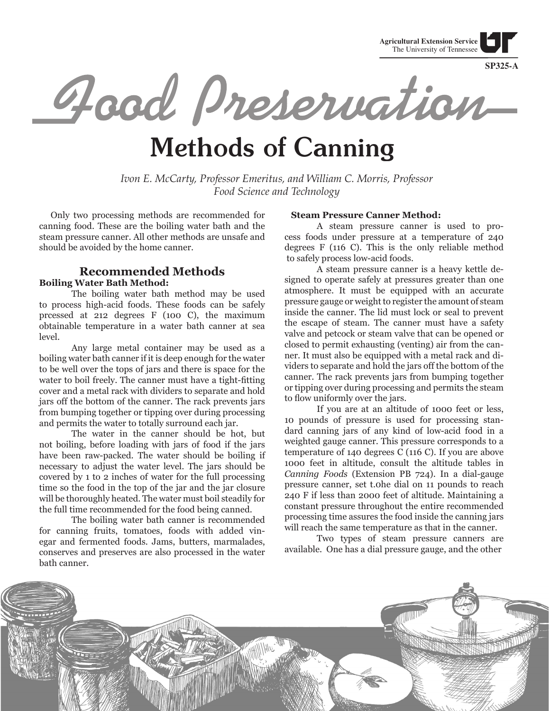**Agricultural Extension Service** The University of Tennessee

**SP325-A**

Grad Preservation

# **Methods of Canning**

*Ivon E. McCarty, Professor Emeritus, and William C. Morris, Professor Food Science and Technology*

 Only two processing methods are recommended for canning food. These are the boiling water bath and the steam pressure canner. All other methods are unsafe and should be avoided by the home canner.

## **Recommended Methods Boiling Water Bath Method:**

 The boiling water bath method may be used to process high-acid foods. These foods can be safely prcessed at 212 degrees F (100 C), the maximum obtainable temperature in a water bath canner at sea level.

 Any large metal container may be used as a boiling water bath canner if it is deep enough for the water to be well over the tops of jars and there is space for the water to boil freely. The canner must have a tight-fitting cover and a metal rack with dividers to separate and hold jars off the bottom of the canner. The rack prevents jars from bumping together or tipping over during processing and permits the water to totally surround each jar.

 The water in the canner should be hot, but not boiling, before loading with jars of food if the jars have been raw-packed. The water should be boiling if necessary to adjust the water level. The jars should be covered by 1 to 2 inches of water for the full processing time so the food in the top of the jar and the jar closure will be thoroughly heated. The water must boil steadily for the full time recommended for the food being canned.

 The boiling water bath canner is recommended for canning fruits, tomatoes, foods with added vinegar and fermented foods. Jams, butters, marmalades, conserves and preserves are also processed in the water bath canner.

#### **Steam Pressure Canner Method:**

 A steam pressure canner is used to process foods under pressure at a temperature of 240 degrees F (116 C). This is the only reliable method to safely process low-acid foods.

 A steam pressure canner is a heavy kettle designed to operate safely at pressures greater than one atmosphere. It must be equipped with an accurate pressure gauge or weight to register the amount of steam inside the canner. The lid must lock or seal to prevent the escape of steam. The canner must have a safety valve and petcock or steam valve that can be opened or closed to permit exhausting (venting) air from the canner. It must also be equipped with a metal rack and dividers to separate and hold the jars off the bottom of the canner. The rack prevents jars from bumping together or tipping over during processing and permits the steam to flow uniformly over the jars.

 If you are at an altitude of 1000 feet or less, 10 pounds of pressure is used for processing standard canning jars of any kind of low-acid food in a weighted gauge canner. This pressure corresponds to a temperature of 140 degrees C (116 C). If you are above 1000 feet in altitude, consult the altitude tables in *Canning Foods* (Extension PB 724). In a dial-gauge pressure canner, set t.0he dial on 11 pounds to reach 240 F if less than 2000 feet of altitude. Maintaining a constant pressure throughout the entire recommended processing time assures the food inside the canning jars will reach the same temperature as that in the canner.

 Two types of steam pressure canners are available. One has a dial pressure gauge, and the other